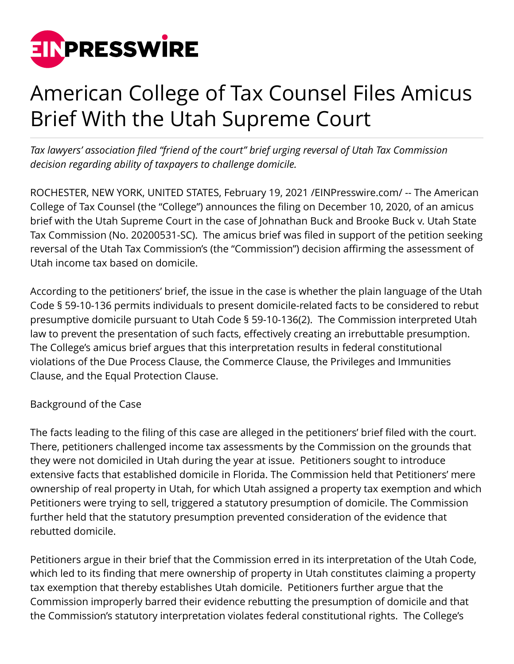

## American College of Tax Counsel Files Amicus Brief With the Utah Supreme Court

*Tax lawyers' association filed "friend of the court" brief urging reversal of Utah Tax Commission decision regarding ability of taxpayers to challenge domicile.*

ROCHESTER, NEW YORK, UNITED STATES, February 19, 2021 /[EINPresswire.com](http://www.einpresswire.com)/ -- The American College of Tax Counsel (the "College") announces the filing on December 10, 2020, of an amicus brief with the Utah Supreme Court in the case of Johnathan Buck and Brooke Buck v. Utah State Tax Commission (No. 20200531-SC). The amicus brief was filed in support of the petition seeking reversal of the Utah Tax Commission's (the "Commission") decision affirming the assessment of Utah income tax based on domicile.

According to the petitioners' brief, the issue in the case is whether the plain language of the Utah Code § 59-10-136 permits individuals to present domicile-related facts to be considered to rebut presumptive domicile pursuant to Utah Code § 59-10-136(2). The Commission interpreted Utah law to prevent the presentation of such facts, effectively creating an irrebuttable presumption. The College's amicus brief argues that this interpretation results in federal constitutional violations of the Due Process Clause, the Commerce Clause, the Privileges and Immunities Clause, and the Equal Protection Clause.

## Background of the Case

The facts leading to the filing of this case are alleged in the petitioners' brief filed with the court. There, petitioners challenged income tax assessments by the Commission on the grounds that they were not domiciled in Utah during the year at issue. Petitioners sought to introduce extensive facts that established domicile in Florida. The Commission held that Petitioners' mere ownership of real property in Utah, for which Utah assigned a property tax exemption and which Petitioners were trying to sell, triggered a statutory presumption of domicile. The Commission further held that the statutory presumption prevented consideration of the evidence that rebutted domicile.

Petitioners argue in their brief that the Commission erred in its interpretation of the Utah Code, which led to its finding that mere ownership of property in Utah constitutes claiming a property tax exemption that thereby establishes Utah domicile. Petitioners further argue that the Commission improperly barred their evidence rebutting the presumption of domicile and that the Commission's statutory interpretation violates federal constitutional rights. The College's